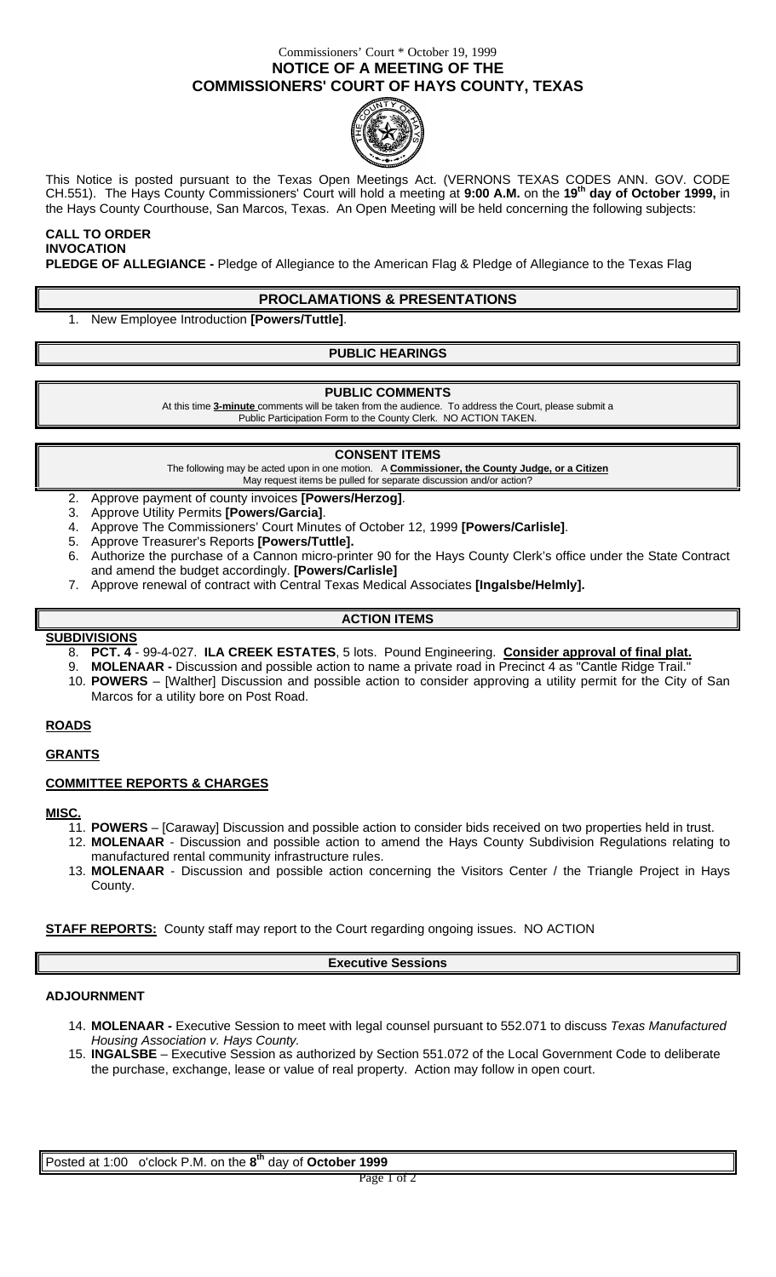## Commissioners' Court \* October 19, 1999 **NOTICE OF A MEETING OF THE COMMISSIONERS' COURT OF HAYS COUNTY, TEXAS**



This Notice is posted pursuant to the Texas Open Meetings Act. (VERNONS TEXAS CODES ANN. GOV. CODE CH.551). The Hays County Commissioners' Court will hold a meeting at **9:00 A.M.** on the **19th day of October 1999,** in the Hays County Courthouse, San Marcos, Texas. An Open Meeting will be held concerning the following subjects:

#### **CALL TO ORDER INVOCATION**

**PLEDGE OF ALLEGIANCE -** Pledge of Allegiance to the American Flag & Pledge of Allegiance to the Texas Flag

### **PROCLAMATIONS & PRESENTATIONS**

1. New Employee Introduction **[Powers/Tuttle]**.

### **PUBLIC HEARINGS**

#### **PUBLIC COMMENTS**

At this time **3-minute** comments will be taken from the audience. To address the Court, please submit a Public Participation Form to the County Clerk. NO ACTION TAKEN.

#### **CONSENT ITEMS**

The following may be acted upon in one motion. A **Commissioner, the County Judge, or a Citizen** May request items be pulled for separate discussion and/or action?

- 2. Approve payment of county invoices **[Powers/Herzog]**.
- 3. Approve Utility Permits **[Powers/Garcia]**.
- 4. Approve The Commissioners' Court Minutes of October 12, 1999 **[Powers/Carlisle]**.
- 5. Approve Treasurer's Reports **[Powers/Tuttle].**
- 6. Authorize the purchase of a Cannon micro-printer 90 for the Hays County Clerk's office under the State Contract and amend the budget accordingly. **[Powers/Carlisle]**
- 7. Approve renewal of contract with Central Texas Medical Associates **[Ingalsbe/Helmly].**

## **ACTION ITEMS**

#### **SUBDIVISIONS**

- 8. **PCT. 4** 99-4-027. **ILA CREEK ESTATES**, 5 lots. Pound Engineering. **Consider approval of final plat.**
- 9. **MOLENAAR -** Discussion and possible action to name a private road in Precinct 4 as "Cantle Ridge Trail."
- 10. **POWERS** [Walther] Discussion and possible action to consider approving a utility permit for the City of San Marcos for a utility bore on Post Road.

### **ROADS**

#### **GRANTS**

### **COMMITTEE REPORTS & CHARGES**

**MISC.**

- 11. **POWERS**  [Caraway] Discussion and possible action to consider bids received on two properties held in trust. 12. **MOLENAAR** - Discussion and possible action to amend the Hays County Subdivision Regulations relating to
- manufactured rental community infrastructure rules. 13. **MOLENAAR** - Discussion and possible action concerning the Visitors Center / the Triangle Project in Hays County.

#### **STAFF REPORTS:** County staff may report to the Court regarding ongoing issues. NO ACTION

#### **Executive Sessions**

### **ADJOURNMENT**

- 14. **MOLENAAR -** Executive Session to meet with legal counsel pursuant to 552.071 to discuss *Texas Manufactured Housing Association v. Hays County.*
- 15. **INGALSBE** Executive Session as authorized by Section 551.072 of the Local Government Code to deliberate the purchase, exchange, lease or value of real property. Action may follow in open court.